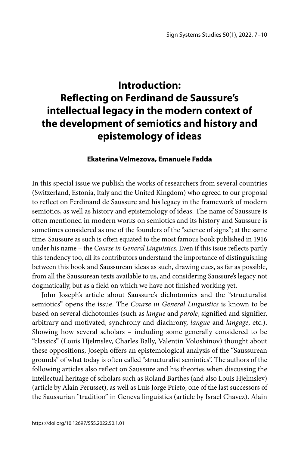## **Introduction: Reflecting on Ferdinand de Saussure's intellectual legacy in the modern context of the development of semiotics and history and epistemology of ideas**

## **Ekaterina Velmezova, Emanuele Fadda**

In this special issue we publish the works of researchers from several countries (Switzerland, Estonia, Italy and the United Kingdom) who agreed to our proposal to reflect on Ferdinand de Saussure and his legacy in the framework of modern semiotics, as well as history and epistemology of ideas. The name of Saussure is often mentioned in modern works on semiotics and its history and Saussure is sometimes considered as one of the founders of the "science of signs"; at the same time, Saussure as such is often equated to the most famous book published in 1916 under his name – the *Course in General Linguistics*. Even if this issue reflects partly this tendency too, all its contributors understand the importance of distinguishing between this book and Saussurean ideas as such, drawing cues, as far as possible, from all the Saussurean texts available to us, and considering Saussure's legacy not dogmatically, but as a field on which we have not finished working yet.

John Joseph's article about Saussure's dichotomies and the "structuralist semiotics" opens the issue. The *Course in General Linguistics* is known to be based on several dichotomies (such as *langue* and *parole*, signified and signifier, arbitrary and motivated, synchrony and diachrony, *langue* and *langage*, etc.). Showing how several scholars – including some generally considered to be "classics" (Louis Hjelmslev, Charles Bally, Valentin Voloshinov) thought about these oppositions, Joseph offers an epistemological analysis of the "Saussurean grounds" of what today is often called "structuralist semiotics". The authors of the following articles also reflect on Saussure and his theories when discussing the intellectual heritage of scholars such as Roland Barthes (and also Louis Hjelmslev) (article by Alain Perusset), as well as Luis Jorge Prieto, one of the last successors of the Saussurian "tradition" in Geneva linguistics (article by Israel Chavez). Alain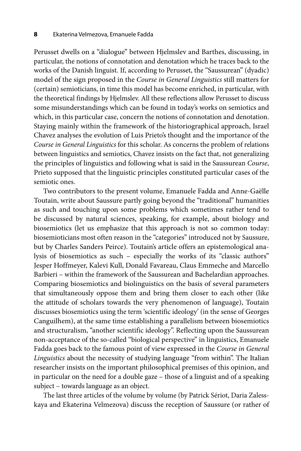Perusset dwells on a "dialogue" between Hjelmslev and Barthes, discussing, in particular, the notions of connotation and denotation which he traces back to the works of the Danish linguist. If, according to Perusset, the "Saussurean" (dyadic) model of the sign proposed in the *Course in General Linguistics* still matters for (certain) semioticians, in time this model has become enriched, in particular, with the theoretical findings by Hjelmslev. All these reflections allow Perusset to discuss some misunderstandings which can be found in today's works on semiotics and which, in this particular case, concern the notions of connotation and denotation. Staying mainly within the framework of the historiographical approach, Israel Chavez analyses the evolution of Luis Prieto's thought and the importance of the *Course in General Linguistics* for this scholar. As concerns the problem of relations between linguistics and semiotics, Chavez insists on the fact that, not generalizing the principles of linguistics and following what is said in the Saussurean *Course*, Prieto supposed that the linguistic principles constituted particular cases of the semiotic ones.

Two contributors to the present volume, Emanuele Fadda and Anne-Gaëlle Toutain, write about Saussure partly going beyond the "traditional" humanities as such and touching upon some problems which sometimes rather tend to be discussed by natural sciences, speaking, for example, about biology and biosemiotics (let us emphasize that this approach is not so common today: biosemioticians most often reason in the "categories" introduced not by Saussure, but by Charles Sanders Peirce). Toutain's article offers an epistemological analysis of biosemiotics as such – especially the works of its "classic authors" Jesper Hoffmeyer, Kalevi Kull, Donald Favareau, Claus Emmeche and Marcello Barbieri – within the framework of the Saussurean and Bachelardian approaches. Comparing biosemiotics and biolinguistics on the basis of several parameters that simultaneously oppose them and bring them closer to each other (like the attitude of scholars towards the very phenomenon of language), Toutain discusses biosemiotics using the term 'scientific ideology' (in the sense of Georges Canguilhem), at the same time establishing a parallelism between biosemiotics and structuralism, "another scientific ideology". Reflecting upon the Saussurean non-acceptance of the so-called "biological perspective" in linguistics, Emanuele Fadda goes back to the famous point of view expressed in the *Course in General Linguistics* about the necessity of studying language "from within". The Italian researcher insists on the important philosophical premises of this opinion, and in particular on the need for a double gaze – those of a linguist and of a speaking subject – towards language as an object.

The last three articles of the volume by volume (by Patrick Sériot, Daria Zalesskaya and Ekaterina Velmezova) discuss the reception of Saussure (or rather of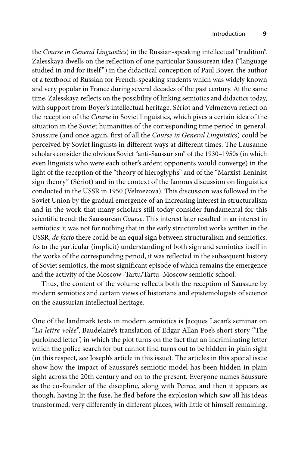the *Course in General Linguistics*) in the Russian-speaking intellectual "tradition". Zalesskaya dwells on the reflection of one particular Saussurean idea ("language studied in and for itself") in the didactical conception of Paul Boyer, the author of a textbook of Russian for French-speaking students which was widely known and very popular in France during several decades of the past century. At the same time, Zalesskaya reflects on the possibility of linking semiotics and didactics today, with support from Boyer's intellectual heritage. Sériot and Velmezova reflect on the reception of the *Course* in Soviet linguistics, which gives a certain idea of the situation in the Soviet humanities of the corresponding time period in general. Saussure (and once again, first of all the *Course in General Linguistics*) could be perceived by Soviet linguists in different ways at different times. The Lausanne scholars consider the obvious Soviet "anti-Saussurism" of the 1930–1950s (in which even linguists who were each other's ardent opponents would converge) in the light of the reception of the "theory of hieroglyphs" and of the "Marxist-Leninist sign theory" (Sériot) and in the context of the famous discussion on linguistics conducted in the USSR in 1950 (Velmezova). This discussion was followed in the Soviet Union by the gradual emergence of an increasing interest in structuralism and in the work that many scholars still today consider fundamental for this scientific trend: the Saussurean *Course*. This interest later resulted in an interest in semiotics: it was not for nothing that in the early structuralist works written in the USSR, *de facto* there could be an equal sign between structuralism and semiotics. As to the particular (implicit) understanding of both sign and semiotics itself in the works of the corresponding period, it was reflected in the subsequent history of Soviet semiotics, the most significant episode of which remains the emergence and the activity of the Moscow–Tartu/Tartu–Moscow semiotic school.

Thus, the content of the volume reflects both the reception of Saussure by modern semiotics and certain views of historians and epistemologists of science on the Saussurian intellectual heritage.

One of the landmark texts in modern semiotics is Jacques Lacan's seminar on "*La lettre volée*", Baudelaire's translation of Edgar Allan Poe's short story "The purloined letter", in which the plot turns on the fact that an incriminating letter which the police search for but cannot find turns out to be hidden in plain sight (in this respect, see Joseph's article in this issue). The articles in this special issue show how the impact of Saussure's semiotic model has been hidden in plain sight across the 20th century and on to the present. Everyone names Saussure as the co-founder of the discipline, along with Peirce, and then it appears as though, having lit the fuse, he fled before the explosion which saw all his ideas transformed, very differently in different places, with little of himself remaining.